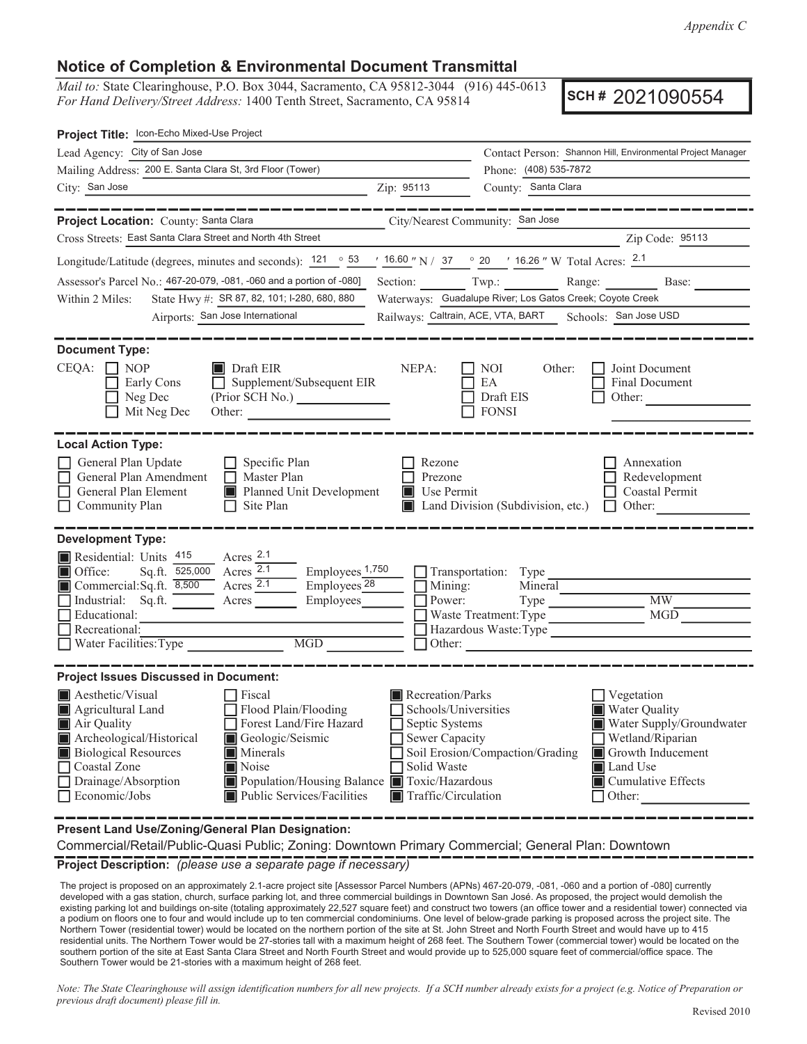## **Notice of Completion & Environmental Document Transmittal**

*Mail to:* State Clearinghouse, P.O. Box 3044, Sacramento, CA 95812-3044 (916) 445-0613 *For Hand Delivery/Street Address:* 1400 Tenth Street, Sacramento, CA 95814

**SCH #** 2021090554

| Contact Person: Shannon Hill, Environmental Project Manager                                                                                                                       |  |  |  |
|-----------------------------------------------------------------------------------------------------------------------------------------------------------------------------------|--|--|--|
| Phone: (408) 535-7872                                                                                                                                                             |  |  |  |
|                                                                                                                                                                                   |  |  |  |
|                                                                                                                                                                                   |  |  |  |
|                                                                                                                                                                                   |  |  |  |
| Zip Code: 95113                                                                                                                                                                   |  |  |  |
| $\frac{16.60 \text{ m}}{N}$ N / 37 $\degree$ 20 $\degree$ 16.26 $\degree$ W Total Acres: $\frac{2.1}{N}$                                                                          |  |  |  |
| Section: Twp.: Range: Base:                                                                                                                                                       |  |  |  |
| Assessor's Parcel No.: 467-20-079, -081, -060 and a portion of -080]<br>Waterways: Guadalupe River; Los Gatos Creek; Coyote Creek<br>State Hwy #: SR 87, 82, 101; I-280, 680, 880 |  |  |  |
| Railways: Caltrain, ACE, VTA, BART Schools: San Jose USD                                                                                                                          |  |  |  |
| Joint Document<br>Final Document<br>Other:                                                                                                                                        |  |  |  |
| Annexation<br>Redevelopment<br>Coastal Permit<br>Other:                                                                                                                           |  |  |  |
|                                                                                                                                                                                   |  |  |  |
| $\overline{\text{MW}}$<br>MGD                                                                                                                                                     |  |  |  |
|                                                                                                                                                                                   |  |  |  |
| Vegetation<br><b>Water Quality</b><br>Water Supply/Groundwater<br>Wetland/Riparian<br>Growth Inducement<br>Land Use<br>Cumulative Effects<br>$\Box$ Other:                        |  |  |  |
|                                                                                                                                                                                   |  |  |  |

**Present Land Use/Zoning/General Plan Designation:**

Commercial/Retail/Public-Quasi Public; Zoning: Downtown Primary Commercial; General Plan: Downtown

**Project Description:** *(please use a separate page if necessary)*

 The project is proposed on an approximately 2.1-acre project site [Assessor Parcel Numbers (APNs) 467-20-079, -081, -060 and a portion of -080] currently developed with a gas station, church, surface parking lot, and three commercial buildings in Downtown San José. As proposed, the project would demolish the existing parking lot and buildings on-site (totaling approximately 22,527 square feet) and construct two towers (an office tower and a residential tower) connected via a podium on floors one to four and would include up to ten commercial condominiums. One level of below-grade parking is proposed across the project site. The Northern Tower (residential tower) would be located on the northern portion of the site at St. John Street and North Fourth Street and would have up to 415 residential units. The Northern Tower would be 27-stories tall with a maximum height of 268 feet. The Southern Tower (commercial tower) would be located on the southern portion of the site at East Santa Clara Street and North Fourth Street and would provide up to 525,000 square feet of commercial/office space. The Southern Tower would be 21-stories with a maximum height of 268 feet.

*Note: The State Clearinghouse will assign identification numbers for all new projects. If a SCH number already exists for a project (e.g. Notice of Preparation or previous draft document) please fill in.*